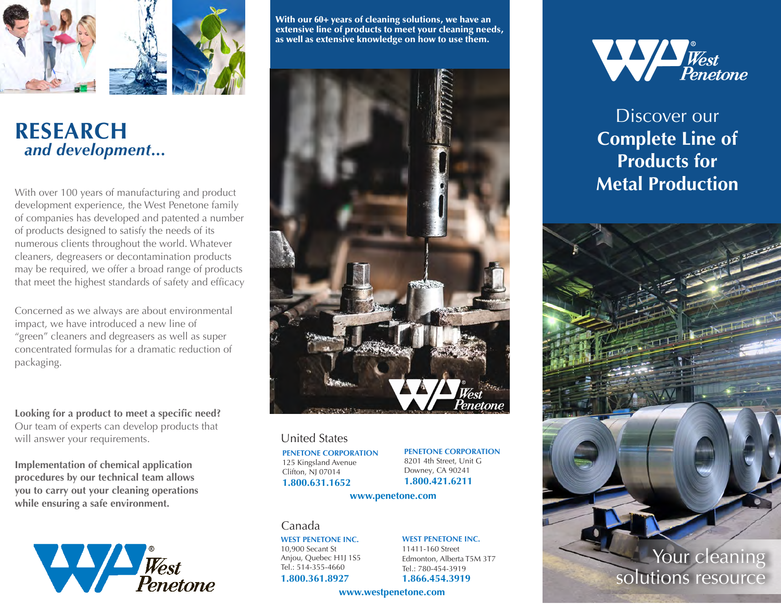

## **RESEARCH**  *and development...*

With over 100 years of manufacturing and product development experience, the West Penetone family of companies has developed and patented a number of products designed to satisfy the needs of its numerous clients throughout the world. Whatever cleaners, degreasers or decontamination products may be required, we offer a broad range of products that meet the highest standards of safety and efficacy.

Concerned as we always are about environmental impact, we have introduced a new line of "green" cleaners and degreasers as well as super concentrated formulas for a dramatic reduction of packaging.

**Looking for a product to meet a specific need?** Our team of experts can develop products that will answer your requirements.

**Implementation of chemical application procedures by our technical team allows you to carry out your cleaning operations while ensuring a safe environment.** 



With our 60+ years of cleaning solutions, we have an extensive line of products to meet your cleaning needs, as well as extensive knowledge on how to use them.



## United States

**PENETONE CORPORATION** 125 Kingsland Avenue Clifton, NJ 07014 **1.800.631.1652**

**PENETONE CORPORATION** 8201 4th Street, Unit G Downey, CA 90241

**1.800.421.6211**

#### **www.penetone.com**

## Canada

**WEST PENETONE INC.** 10,900 Secant St Anjou, Quebec H1J 1S5 Tel.: 514-355-4660

**1.800.361.8927**

#### **WEST PENETONE INC.** 11411-160 Street

Edmonton, Alberta T5M 3T7 Tel.: 780-454-3919 **1.866.454.3919**

### **www.westpenetone.com**



Discover our **Complete Line of Products for Metal Production**